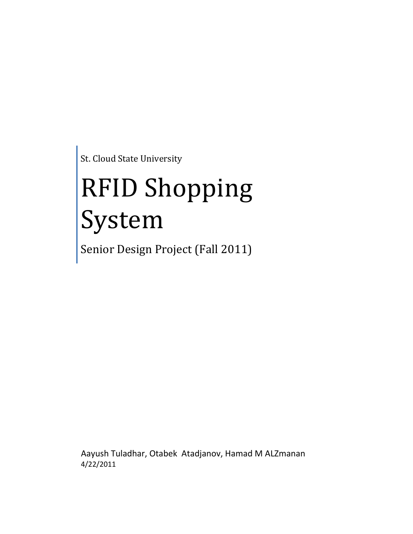St. Cloud State University

# RFID Shopping System

Senior Design Project (Fall 2011)

Aayush Tuladhar, Otabek Atadjanov, Hamad M ALZmanan 4/22/2011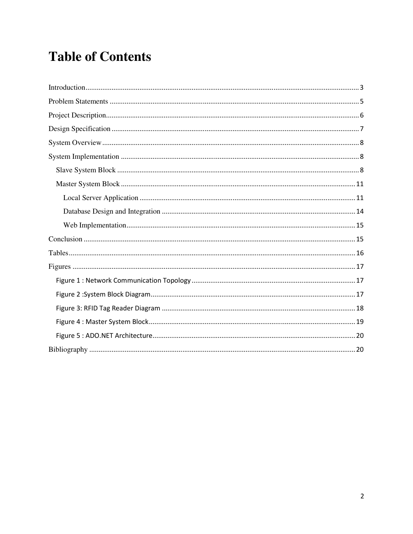# **Table of Contents**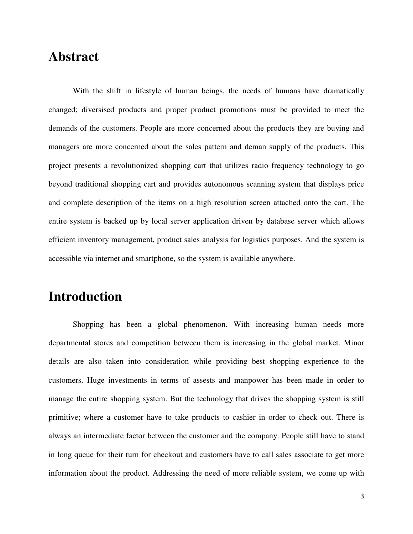## **Abstract**

With the shift in lifestyle of human beings, the needs of humans have dramatically changed; diversised products and proper product promotions must be provided to meet the demands of the customers. People are more concerned about the products they are buying and managers are more concerned about the sales pattern and deman supply of the products. This project presents a revolutionized shopping cart that utilizes radio frequency technology to go beyond traditional shopping cart and provides autonomous scanning system that displays price and complete description of the items on a high resolution screen attached onto the cart. The entire system is backed up by local server application driven by database server which allows efficient inventory management, product sales analysis for logistics purposes. And the system is accessible via internet and smartphone, so the system is available anywhere.

## **Introduction**

Shopping has been a global phenomenon. With increasing human needs more departmental stores and competition between them is increasing in the global market. Minor details are also taken into consideration while providing best shopping experience to the customers. Huge investments in terms of assests and manpower has been made in order to manage the entire shopping system. But the technology that drives the shopping system is still primitive; where a customer have to take products to cashier in order to check out. There is always an intermediate factor between the customer and the company. People still have to stand in long queue for their turn for checkout and customers have to call sales associate to get more information about the product. Addressing the need of more reliable system, we come up with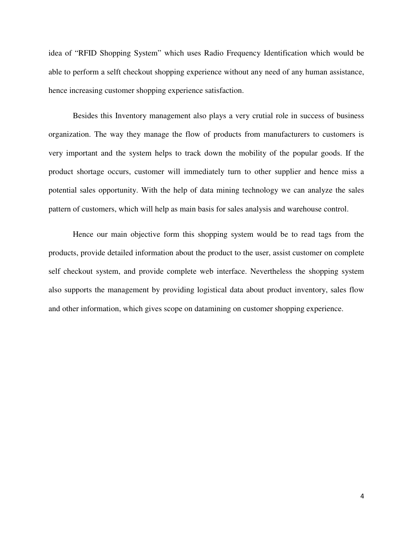idea of "RFID Shopping System" which uses Radio Frequency Identification which would be able to perform a selft checkout shopping experience without any need of any human assistance, hence increasing customer shopping experience satisfaction.

Besides this Inventory management also plays a very crutial role in success of business organization. The way they manage the flow of products from manufacturers to customers is very important and the system helps to track down the mobility of the popular goods. If the product shortage occurs, customer will immediately turn to other supplier and hence miss a potential sales opportunity. With the help of data mining technology we can analyze the sales pattern of customers, which will help as main basis for sales analysis and warehouse control.

Hence our main objective form this shopping system would be to read tags from the products, provide detailed information about the product to the user, assist customer on complete self checkout system, and provide complete web interface. Nevertheless the shopping system also supports the management by providing logistical data about product inventory, sales flow and other information, which gives scope on datamining on customer shopping experience.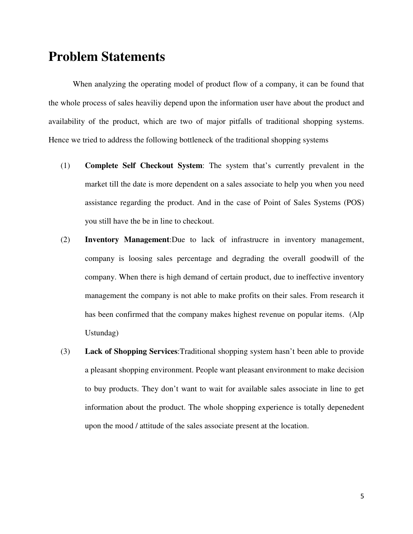## **Problem Statements**

When analyzing the operating model of product flow of a company, it can be found that the whole process of sales heaviliy depend upon the information user have about the product and availability of the product, which are two of major pitfalls of traditional shopping systems. Hence we tried to address the following bottleneck of the traditional shopping systems

- (1) **Complete Self Checkout System**: The system that's currently prevalent in the market till the date is more dependent on a sales associate to help you when you need assistance regarding the product. And in the case of Point of Sales Systems (POS) you still have the be in line to checkout.
- (2) **Inventory Management**:Due to lack of infrastrucre in inventory management, company is loosing sales percentage and degrading the overall goodwill of the company. When there is high demand of certain product, due to ineffective inventory management the company is not able to make profits on their sales. From research it has been confirmed that the company makes highest revenue on popular items. (Alp Ustundag)
- (3) **Lack of Shopping Services**:Traditional shopping system hasn't been able to provide a pleasant shopping environment. People want pleasant environment to make decision to buy products. They don't want to wait for available sales associate in line to get information about the product. The whole shopping experience is totally depenedent upon the mood / attitude of the sales associate present at the location.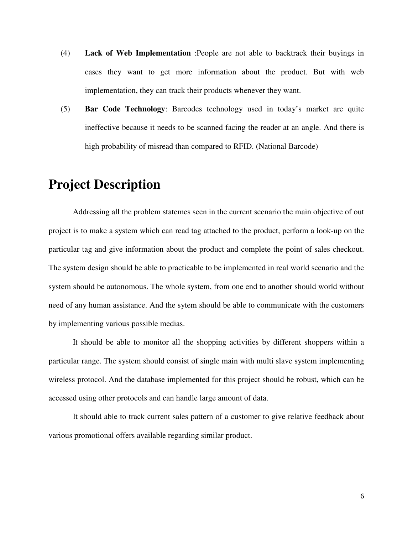- (4) **Lack of Web Implementation** :People are not able to backtrack their buyings in cases they want to get more information about the product. But with web implementation, they can track their products whenever they want.
- (5) **Bar Code Technology**: Barcodes technology used in today's market are quite ineffective because it needs to be scanned facing the reader at an angle. And there is high probability of misread than compared to RFID. (National Barcode)

## **Project Description**

Addressing all the problem statemes seen in the current scenario the main objective of out project is to make a system which can read tag attached to the product, perform a look-up on the particular tag and give information about the product and complete the point of sales checkout. The system design should be able to practicable to be implemented in real world scenario and the system should be autonomous. The whole system, from one end to another should world without need of any human assistance. And the sytem should be able to communicate with the customers by implementing various possible medias.

It should be able to monitor all the shopping activities by different shoppers within a particular range. The system should consist of single main with multi slave system implementing wireless protocol. And the database implemented for this project should be robust, which can be accessed using other protocols and can handle large amount of data.

It should able to track current sales pattern of a customer to give relative feedback about various promotional offers available regarding similar product.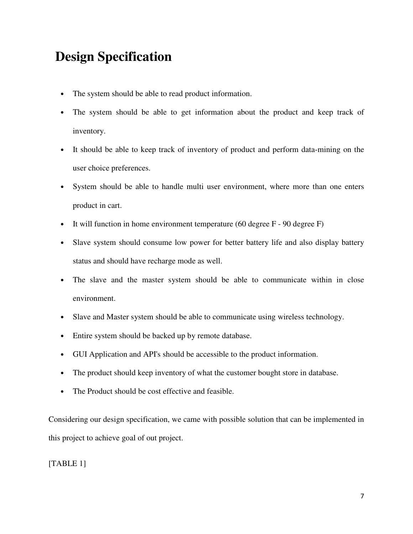## **Design Specification**

- The system should be able to read product information.
- The system should be able to get information about the product and keep track of inventory.
- It should be able to keep track of inventory of product and perform data-mining on the user choice preferences.
- System should be able to handle multi user environment, where more than one enters product in cart.
- It will function in home environment temperature (60 degree F 90 degree F)
- Slave system should consume low power for better battery life and also display battery status and should have recharge mode as well.
- The slave and the master system should be able to communicate within in close environment.
- Slave and Master system should be able to communicate using wireless technology.
- Entire system should be backed up by remote database.
- GUI Application and API's should be accessible to the product information.
- The product should keep inventory of what the customer bought store in database.
- The Product should be cost effective and feasible.

Considering our design specification, we came with possible solution that can be implemented in this project to achieve goal of out project.

[TABLE 1]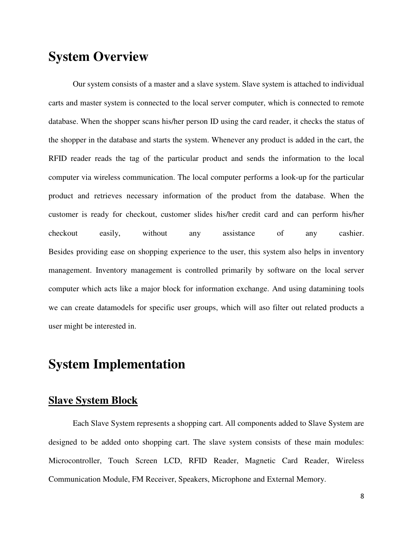## **System Overview**

Our system consists of a master and a slave system. Slave system is attached to individual carts and master system is connected to the local server computer, which is connected to remote database. When the shopper scans his/her person ID using the card reader, it checks the status of the shopper in the database and starts the system. Whenever any product is added in the cart, the RFID reader reads the tag of the particular product and sends the information to the local computer via wireless communication. The local computer performs a look-up for the particular product and retrieves necessary information of the product from the database. When the customer is ready for checkout, customer slides his/her credit card and can perform his/her checkout easily, without any assistance of any cashier. Besides providing ease on shopping experience to the user, this system also helps in inventory management. Inventory management is controlled primarily by software on the local server computer which acts like a major block for information exchange. And using datamining tools we can create datamodels for specific user groups, which will aso filter out related products a user might be interested in.

### **System Implementation**

#### **Slave System Block**

Each Slave System represents a shopping cart. All components added to Slave System are designed to be added onto shopping cart. The slave system consists of these main modules: Microcontroller, Touch Screen LCD, RFID Reader, Magnetic Card Reader, Wireless Communication Module, FM Receiver, Speakers, Microphone and External Memory.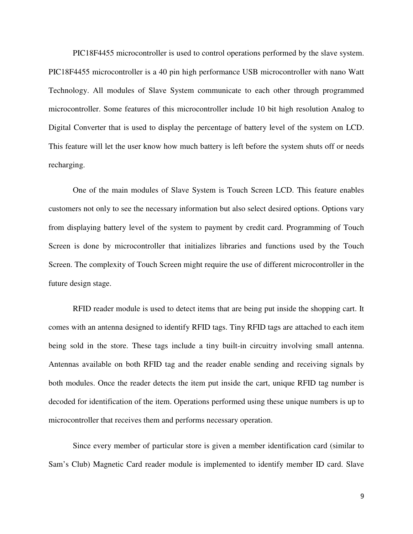PIC18F4455 microcontroller is used to control operations performed by the slave system. PIC18F4455 microcontroller is a 40 pin high performance USB microcontroller with nano Watt Technology. All modules of Slave System communicate to each other through programmed microcontroller. Some features of this microcontroller include 10 bit high resolution Analog to Digital Converter that is used to display the percentage of battery level of the system on LCD. This feature will let the user know how much battery is left before the system shuts off or needs recharging.

One of the main modules of Slave System is Touch Screen LCD. This feature enables customers not only to see the necessary information but also select desired options. Options vary from displaying battery level of the system to payment by credit card. Programming of Touch Screen is done by microcontroller that initializes libraries and functions used by the Touch Screen. The complexity of Touch Screen might require the use of different microcontroller in the future design stage.

RFID reader module is used to detect items that are being put inside the shopping cart. It comes with an antenna designed to identify RFID tags. Tiny RFID tags are attached to each item being sold in the store. These tags include a tiny built-in circuitry involving small antenna. Antennas available on both RFID tag and the reader enable sending and receiving signals by both modules. Once the reader detects the item put inside the cart, unique RFID tag number is decoded for identification of the item. Operations performed using these unique numbers is up to microcontroller that receives them and performs necessary operation.

Since every member of particular store is given a member identification card (similar to Sam's Club) Magnetic Card reader module is implemented to identify member ID card. Slave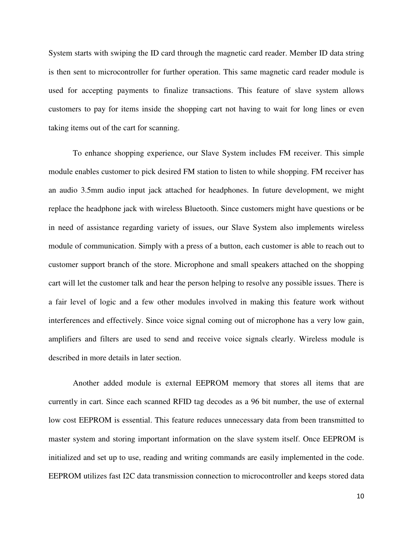System starts with swiping the ID card through the magnetic card reader. Member ID data string is then sent to microcontroller for further operation. This same magnetic card reader module is used for accepting payments to finalize transactions. This feature of slave system allows customers to pay for items inside the shopping cart not having to wait for long lines or even taking items out of the cart for scanning.

To enhance shopping experience, our Slave System includes FM receiver. This simple module enables customer to pick desired FM station to listen to while shopping. FM receiver has an audio 3.5mm audio input jack attached for headphones. In future development, we might replace the headphone jack with wireless Bluetooth. Since customers might have questions or be in need of assistance regarding variety of issues, our Slave System also implements wireless module of communication. Simply with a press of a button, each customer is able to reach out to customer support branch of the store. Microphone and small speakers attached on the shopping cart will let the customer talk and hear the person helping to resolve any possible issues. There is a fair level of logic and a few other modules involved in making this feature work without interferences and effectively. Since voice signal coming out of microphone has a very low gain, amplifiers and filters are used to send and receive voice signals clearly. Wireless module is described in more details in later section.

Another added module is external EEPROM memory that stores all items that are currently in cart. Since each scanned RFID tag decodes as a 96 bit number, the use of external low cost EEPROM is essential. This feature reduces unnecessary data from been transmitted to master system and storing important information on the slave system itself. Once EEPROM is initialized and set up to use, reading and writing commands are easily implemented in the code. EEPROM utilizes fast I2C data transmission connection to microcontroller and keeps stored data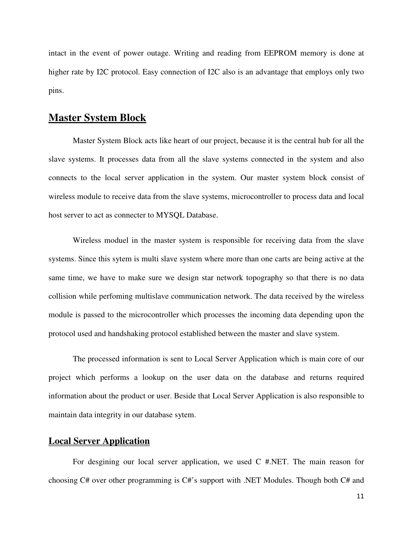intact in the event of power outage. Writing and reading from EEPROM memory is done at higher rate by I2C protocol. Easy connection of I2C also is an advantage that employs only two pins.

#### **Master System Block**

Master System Block acts like heart of our project, because it is the central hub for all the slave systems. It processes data from all the slave systems connected in the system and also connects to the local server application in the system. Our master system block consist of wireless module to receive data from the slave systems, microcontroller to process data and local host server to act as connecter to MYSQL Database.

Wireless moduel in the master system is responsible for receiving data from the slave systems. Since this sytem is multi slave system where more than one carts are being active at the same time, we have to make sure we design star network topography so that there is no data collision while perfoming multislave communication network. The data received by the wireless module is passed to the microcontroller which processes the incoming data depending upon the protocol used and handshaking protocol established between the master and slave system.

The processed information is sent to Local Server Application which is main core of our project which performs a lookup on the user data on the database and returns required information about the product or user. Beside that Local Server Application is also responsible to maintain data integrity in our database sytem.

#### **Local Server Application**

For desgining our local server application, we used C #.NET. The main reason for choosing C# over other programming is C#'s support with .NET Modules. Though both C# and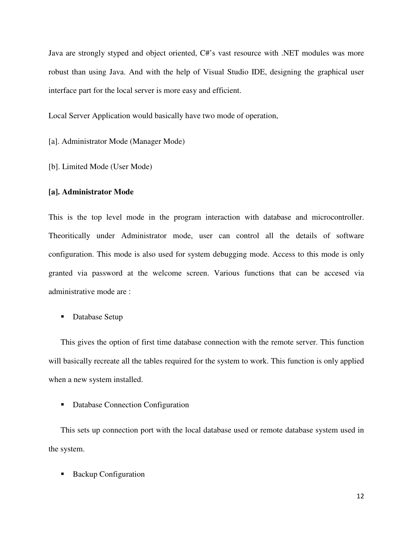Java are strongly styped and object oriented, C#'s vast resource with .NET modules was more robust than using Java. And with the help of Visual Studio IDE, designing the graphical user interface part for the local server is more easy and efficient.

Local Server Application would basically have two mode of operation,

[a]. Administrator Mode (Manager Mode)

[b]. Limited Mode (User Mode)

#### **[a]. Administrator Mode**

This is the top level mode in the program interaction with database and microcontroller. Theoritically under Administrator mode, user can control all the details of software configuration. This mode is also used for system debugging mode. Access to this mode is only granted via password at the welcome screen. Various functions that can be accesed via administrative mode are :

■ Database Setup

This gives the option of first time database connection with the remote server. This function will basically recreate all the tables required for the system to work. This function is only applied when a new system installed.

■ Database Connection Configuration

This sets up connection port with the local database used or remote database system used in the system.

**Backup Configuration**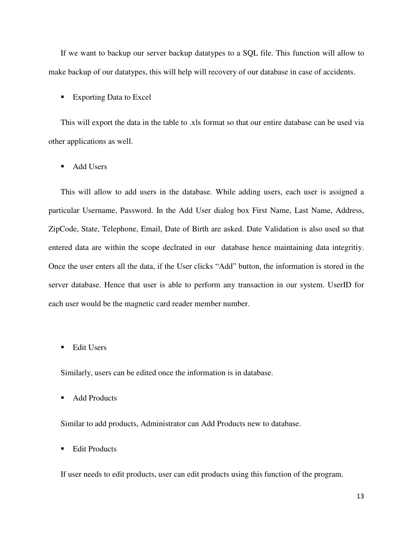If we want to backup our server backup datatypes to a SQL file. This function will allow to make backup of our datatypes, this will help will recovery of our database in case of accidents.

**Exporting Data to Excel** 

This will export the data in the table to .xls format so that our entire database can be used via other applications as well.

■ Add Users

This will allow to add users in the database. While adding users, each user is assigned a particular Username, Password. In the Add User dialog box First Name, Last Name, Address, ZipCode, State, Telephone, Email, Date of Birth are asked. Date Validation is also used so that entered data are within the scope declrated in our database hence maintaining data integritiy. Once the user enters all the data, if the User clicks "Add" button, the information is stored in the server database. Hence that user is able to perform any transaction in our system. UserID for each user would be the magnetic card reader member number.

**Edit Users** 

Similarly, users can be edited once the information is in database.

■ Add Products

Similar to add products, Administrator can Add Products new to database.

**Edit Products** 

If user needs to edit products, user can edit products using this function of the program.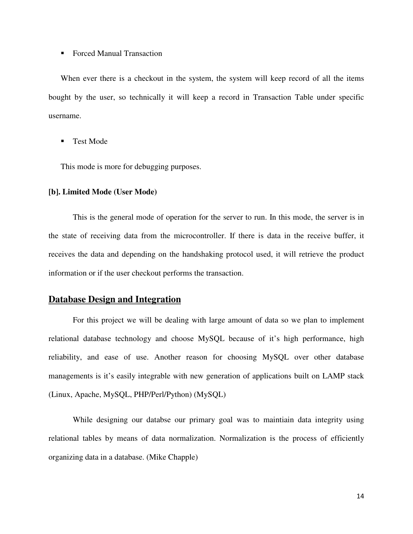#### ■ Forced Manual Transaction

When ever there is a checkout in the system, the system will keep record of all the items bought by the user, so technically it will keep a record in Transaction Table under specific username.

**Test Mode** 

This mode is more for debugging purposes.

#### **[b]. Limited Mode (User Mode)**

This is the general mode of operation for the server to run. In this mode, the server is in the state of receiving data from the microcontroller. If there is data in the receive buffer, it receives the data and depending on the handshaking protocol used, it will retrieve the product information or if the user checkout performs the transaction.

#### **Database Design and Integration**

For this project we will be dealing with large amount of data so we plan to implement relational database technology and choose MySQL because of it's high performance, high reliability, and ease of use. Another reason for choosing MySQL over other database managements is it's easily integrable with new generation of applications built on LAMP stack (Linux, Apache, MySQL, PHP/Perl/Python) (MySQL)

While designing our databse our primary goal was to maintiain data integrity using relational tables by means of data normalization. Normalization is the process of efficiently organizing data in a database. (Mike Chapple)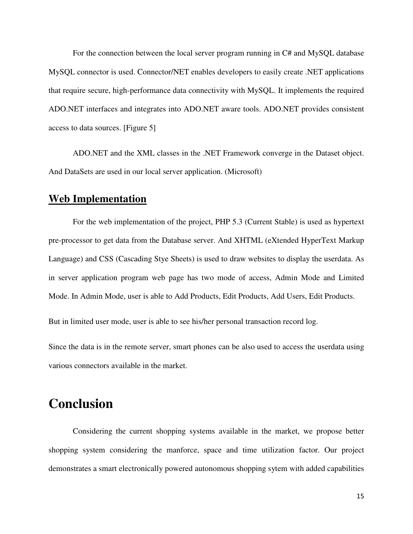For the connection between the local server program running in C# and MySQL database MySQL connector is used. Connector/NET enables developers to easily create .NET applications that require secure, high-performance data connectivity with MySQL. It implements the required ADO.NET interfaces and integrates into ADO.NET aware tools. ADO.NET provides consistent access to data sources. [Figure 5]

ADO.NET and the XML classes in the .NET Framework converge in the Dataset object. And DataSets are used in our local server application. (Microsoft)

#### **Web Implementation**

For the web implementation of the project, PHP 5.3 (Current Stable) is used as hypertext pre-processor to get data from the Database server. And XHTML (eXtended HyperText Markup Language) and CSS (Cascading Stye Sheets) is used to draw websites to display the userdata. As in server application program web page has two mode of access, Admin Mode and Limited Mode. In Admin Mode, user is able to Add Products, Edit Products, Add Users, Edit Products.

But in limited user mode, user is able to see his/her personal transaction record log.

Since the data is in the remote server, smart phones can be also used to access the userdata using various connectors available in the market.

## **Conclusion**

Considering the current shopping systems available in the market, we propose better shopping system considering the manforce, space and time utilization factor. Our project demonstrates a smart electronically powered autonomous shopping sytem with added capabilities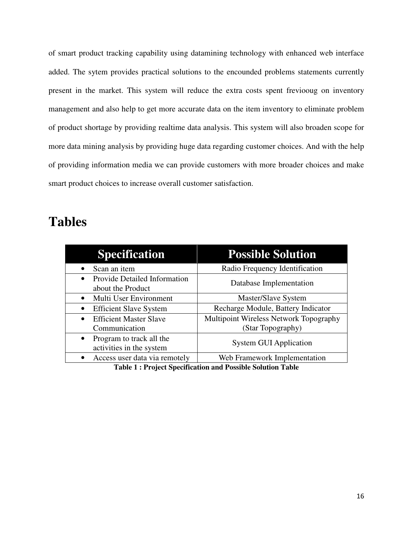of smart product tracking capability using datamining technology with enhanced web interface added. The sytem provides practical solutions to the encounded problems statements currently present in the market. This system will reduce the extra costs spent freviooug on inventory management and also help to get more accurate data on the item inventory to eliminate problem of product shortage by providing realtime data analysis. This system will also broaden scope for more data mining analysis by providing huge data regarding customer choices. And with the help of providing information media we can provide customers with more broader choices and make smart product choices to increase overall customer satisfaction.

## **Tables**

| <b>Specification</b>                                                  | <b>Possible Solution</b>                                    |
|-----------------------------------------------------------------------|-------------------------------------------------------------|
| Scan an item                                                          | Radio Frequency Identification                              |
| <b>Provide Detailed Information</b><br>$\bullet$<br>about the Product | Database Implementation                                     |
| Multi User Environment<br>$\bullet$                                   | Master/Slave System                                         |
| <b>Efficient Slave System</b><br>$\bullet$                            | Recharge Module, Battery Indicator                          |
| <b>Efficient Master Slave</b><br>$\bullet$<br>Communication           | Multipoint Wireless Network Topography<br>(Star Topography) |
| • Program to track all the<br>activities in the system                | <b>System GUI Application</b>                               |
| Access user data via remotely<br>$\bullet$                            | Web Framework Implementation                                |

**Table 1 : Project Specification and Possible Solution Table**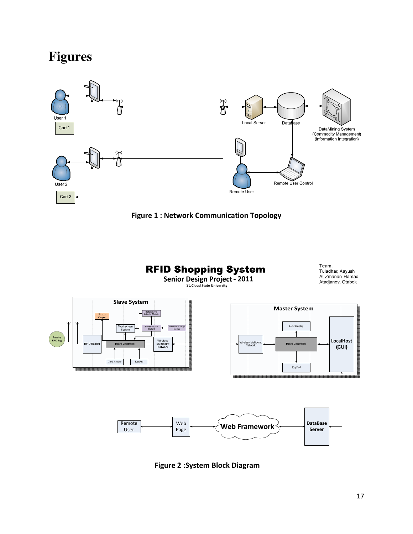# **Figures**





**RFID Shopping System** Senior Design Project - 2011





Figure 2 :System Block Diagram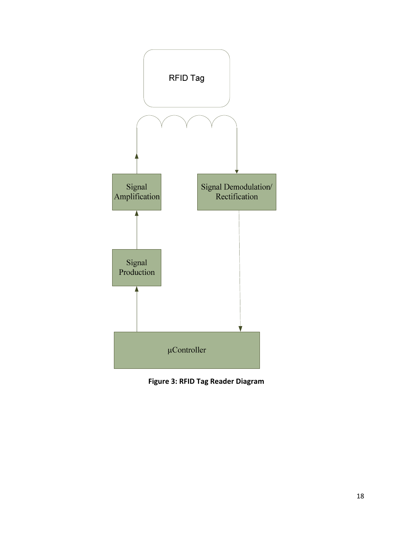

Figure 3: RFID Tag Reader Diagram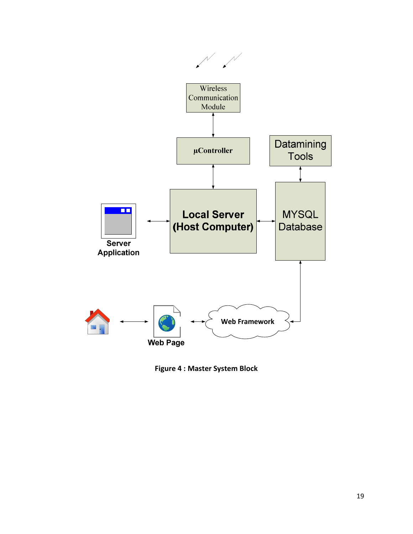

Figure 4 : Master System Block